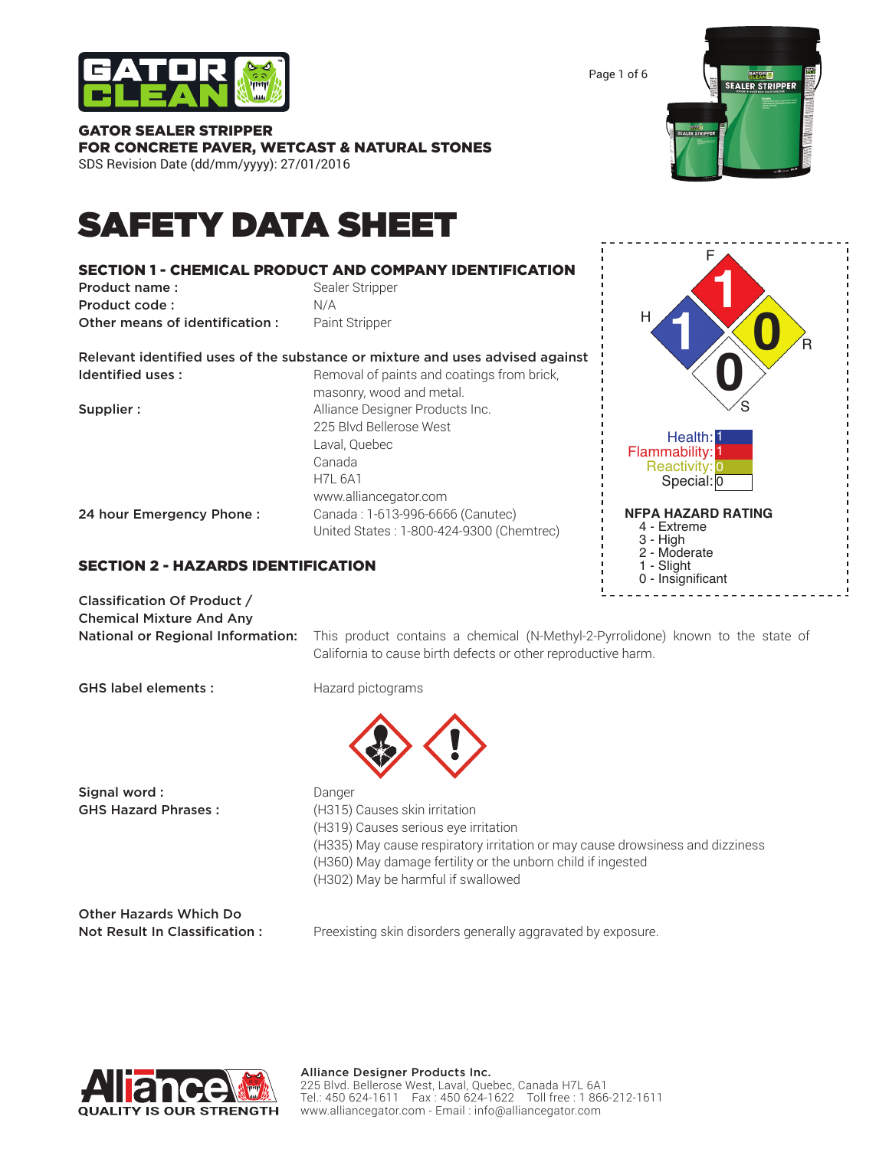

# GATOR SEALER STRIPPER FOR CONCRETE PAVER, WETCAST & NATURAL STONES

SDS Revision Date (dd/mm/yyyy): 27/01/2016

# SAFETY DATA SHEET

#### SECTION 1 - CHEMICAL PRODUCT AND COMPANY IDENTIFICATION **Product name:** Sealer Stripper Product code : N/A **Other means of identification :** Paint Stripper Relevant identified uses of the substance or mixture and uses advised against Identified uses: Removal of paints and coatings from brick, masonry, wood and metal. **Supplier :** Alliance Designer Products Inc. 225 Blvd Bellerose West Laval, Quebec Canada H7L 6A1 www.alliancegator.com 24 hour Emergency Phone : Canada : 1-613-996-6666 (Canutec) United States : 1-800-424-9300 (Chemtrec)

# SECTION 2 - HAZARDS IDENTIFICATION

Classification Of Product / Chemical Mixture And Any

National or Regional Information: This product contains a chemical (N-Methyl-2-Pyrrolidone) known to the state of California to cause birth defects or other reproductive harm.

Signal word : **Danger Danger** 

GHS Hazard Phrases : (H315) Causes skin irritation (H319) Causes serious eye irritation (H335) May cause respiratory irritation or may cause drowsiness and dizziness (H360) May damage fertility or the unborn child if ingested (H302) May be harmful if swallowed

Other Hazards Which Do

Not Result In Classification : Preexisting skin disorders generally aggravated by exposure.





Page 1 of 6



GHS label elements : Hazard pictograms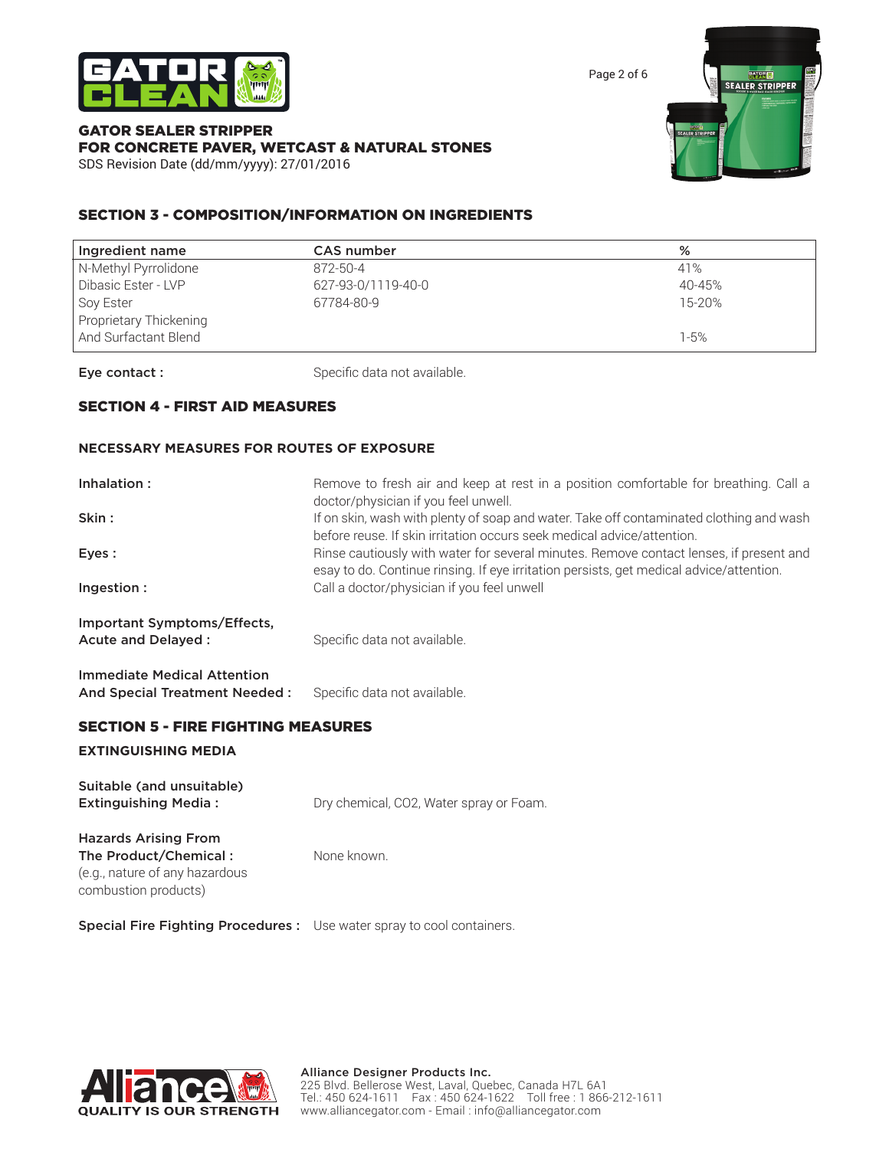

Page 2 of 6

#### GATOR SEALER STRIPPER FOR CONCRETE PAVER, WETCAST & NATURAL STONES SDS Revision Date (dd/mm/yyyy): 27/01/2016



### SECTION 3 - COMPOSITION/INFORMATION ON INGREDIENTS

| <b>CAS</b> number  | %        |
|--------------------|----------|
| 872-50-4           | 41%      |
| 627-93-0/1119-40-0 | 40-45%   |
| 67784-80-9         | 15-20%   |
|                    |          |
|                    | $1 - 5%$ |
|                    |          |

Eye contact : Specific data not available.

#### SECTION 4 - FIRST AID MEASURES

#### **NECESSARY MEASURES FOR ROUTES OF EXPOSURE**

| Inhalation:<br>Skin:                                                | Remove to fresh air and keep at rest in a position comfortable for breathing. Call a<br>doctor/physician if you feel unwell.<br>If on skin, wash with plenty of soap and water. Take off contaminated clothing and wash |
|---------------------------------------------------------------------|-------------------------------------------------------------------------------------------------------------------------------------------------------------------------------------------------------------------------|
|                                                                     | before reuse. If skin irritation occurs seek medical advice/attention.                                                                                                                                                  |
| Eyes:                                                               | Rinse cautiously with water for several minutes. Remove contact lenses, if present and<br>esay to do. Continue rinsing. If eye irritation persists, get medical advice/attention.                                       |
| Ingestion:                                                          | Call a doctor/physician if you feel unwell                                                                                                                                                                              |
| Important Symptoms/Effects,<br>Acute and Delayed:                   | Specific data not available.                                                                                                                                                                                            |
| <b>Immediate Medical Attention</b><br>And Special Treatment Needed: | Specific data not available.                                                                                                                                                                                            |

#### SECTION 5 - FIRE FIGHTING MEASURES

#### **EXTINGUISHING MEDIA**

| Suitable (and unsuitable)<br><b>Extinguishing Media:</b>                                                       | Dry chemical, CO2, Water spray or Foam. |
|----------------------------------------------------------------------------------------------------------------|-----------------------------------------|
| <b>Hazards Arising From</b><br>The Product/Chemical:<br>(e.g., nature of any hazardous<br>combustion products) | None known.                             |

Special Fire Fighting Procedures : Use water spray to cool containers.

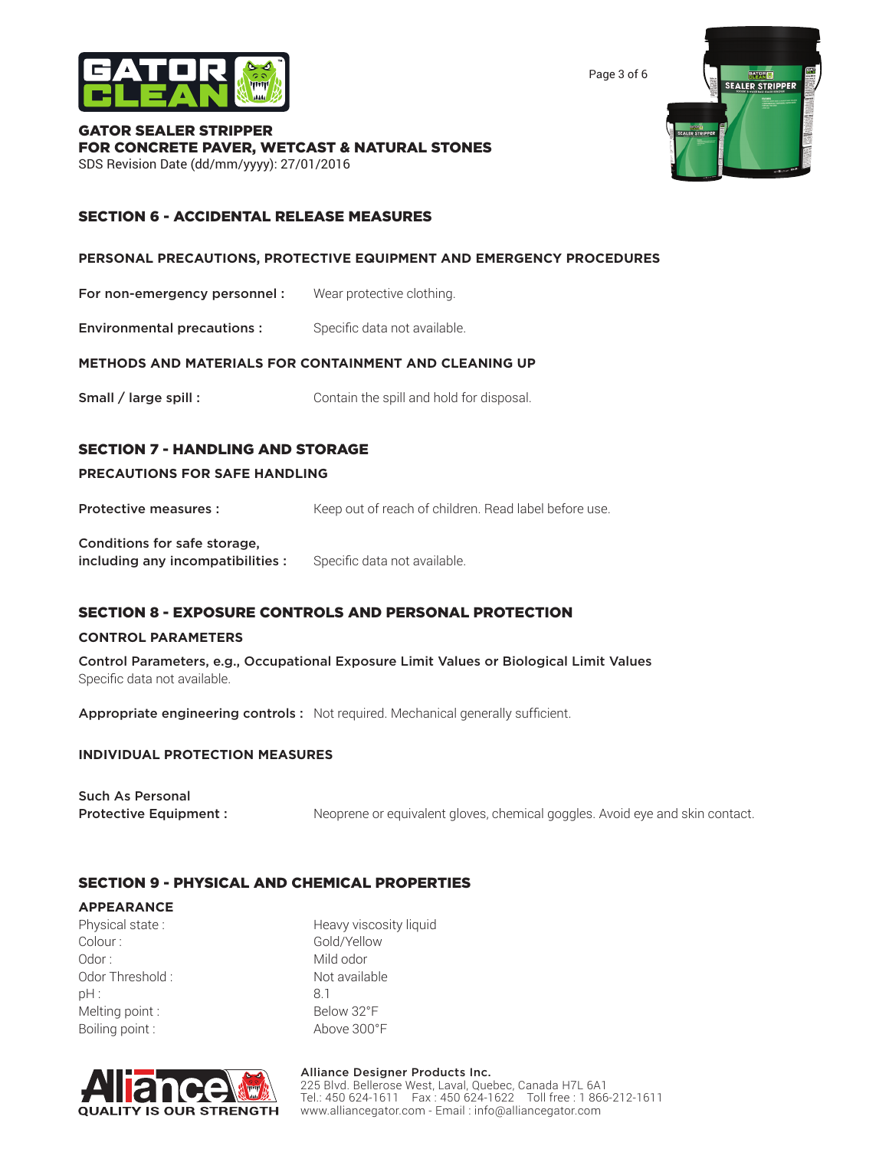

Page 3 of 6

#### GATOR SEALER STRIPPER FOR CONCRETE PAVER, WETCAST & NATURAL STONES SDS Revision Date (dd/mm/yyyy): 27/01/2016



#### SECTION 6 - ACCIDENTAL RELEASE MEASURES

#### **PERSONAL PRECAUTIONS, PROTECTIVE EQUIPMENT AND EMERGENCY PROCEDURES**

For non-emergency personnel : Wear protective clothing.

**Environmental precautions :** Specific data not available.

#### **METHODS AND MATERIALS FOR CONTAINMENT AND CLEANING UP**

Small / large spill : Contain the spill and hold for disposal.

#### SECTION 7 - HANDLING AND STORAGE

#### **PRECAUTIONS FOR SAFE HANDLING**

**Protective measures :** Keep out of reach of children. Read label before use.

Conditions for safe storage, including any incompatibilities : Specific data not available.

#### SECTION 8 - EXPOSURE CONTROLS AND PERSONAL PROTECTION

#### **CONTROL PARAMETERS**

Control Parameters, e.g., Occupational Exposure Limit Values or Biological Limit Values Specific data not available.

Appropriate engineering controls : Not required. Mechanical generally sufficient.

#### **INDIVIDUAL PROTECTION MEASURES**

| <b>Such As Personal</b>      |                                                                              |
|------------------------------|------------------------------------------------------------------------------|
| <b>Protective Equipment:</b> | Neoprene or equivalent gloves, chemical goggles. Avoid eye and skin contact. |

#### SECTION 9 - PHYSICAL AND CHEMICAL PROPERTIES

#### **APPEARANCE**

Colour : Gold/Yellow Odor : Mild odor : Odor Threshold : Not available pH : 8.1 Melting point : Below 32°F Boiling point : Above 300°F

Physical state : Heavy viscosity liquid



#### Alliance Designer Products Inc. 225 Blvd. Bellerose West, Laval, Quebec, Canada H7L 6A1 Tel.: 450 624-1611 Fax : 450 624-1622 Toll free : 1 866-212-1611 www.alliancegator.com - Email : info@alliancegator.com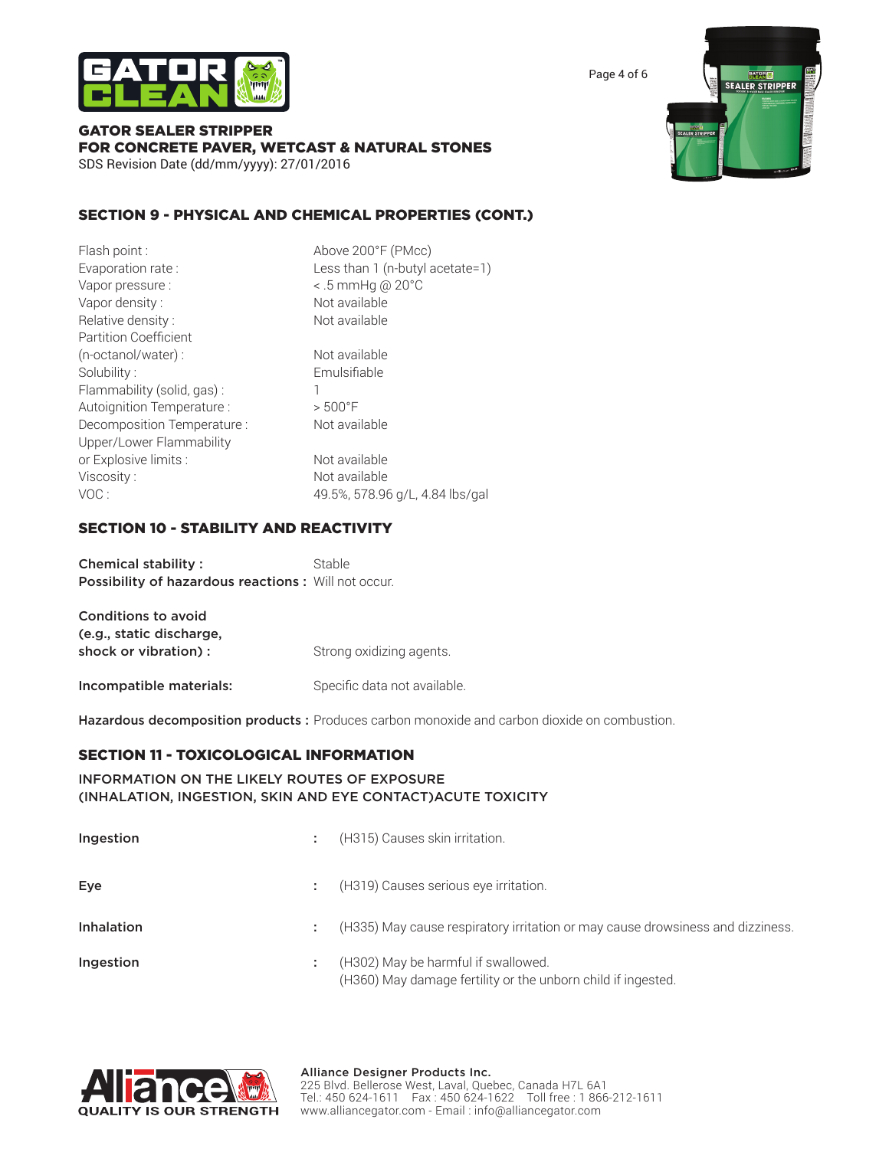

Page 4 of 6

#### GATOR SEALER STRIPPER FOR CONCRETE PAVER, WETCAST & NATURAL STONES SDS Revision Date (dd/mm/yyyy): 27/01/2016



| Flash point:                 | Above 200°F (PMcc)               |
|------------------------------|----------------------------------|
| Evaporation rate:            | Less than 1 (n-butyl acetate=1)  |
| Vapor pressure :             | $\leq$ .5 mmHg @ 20 $^{\circ}$ C |
| Vapor density:               | Not available                    |
| Relative density:            | Not available                    |
| <b>Partition Coefficient</b> |                                  |
| (n-octanol/water) :          | Not available                    |
| Solubility:                  | Emulsifiable                     |
| Flammability (solid, gas):   |                                  |
| Autoignition Temperature :   | $> 500°$ F                       |
| Decomposition Temperature :  | Not available                    |
| Upper/Lower Flammability     |                                  |
| or Explosive limits :        | Not available                    |
| Viscosity:                   | Not available                    |
| VOC:                         | 49.5%, 578.96 g/L, 4.84 lbs/gal  |
|                              |                                  |

#### SECTION 10 - STABILITY AND REACTIVITY

Chemical stability : Stable Possibility of hazardous reactions : Will not occur.

| Conditions to avoid                              |                              |
|--------------------------------------------------|------------------------------|
| (e.g., static discharge,<br>shock or vibration): | Strong oxidizing agents.     |
| Incompatible materials:                          | Specific data not available. |

Hazardous decomposition products : Produces carbon monoxide and carbon dioxide on combustion.

#### SECTION 11 - TOXICOLOGICAL INFORMATION

#### INFORMATION ON THE LIKELY ROUTES OF EXPOSURE (INHALATION, INGESTION, SKIN AND EYE CONTACT)ACUTE TOXICITY

| Ingestion  |   | (H315) Causes skin irritation.                                                                      |
|------------|---|-----------------------------------------------------------------------------------------------------|
| Eye        |   | (H319) Causes serious eye irritation.                                                               |
| Inhalation | ÷ | (H335) May cause respiratory irritation or may cause drowsiness and dizziness.                      |
| Ingestion  |   | (H302) May be harmful if swallowed.<br>(H360) May damage fertility or the unborn child if ingested. |



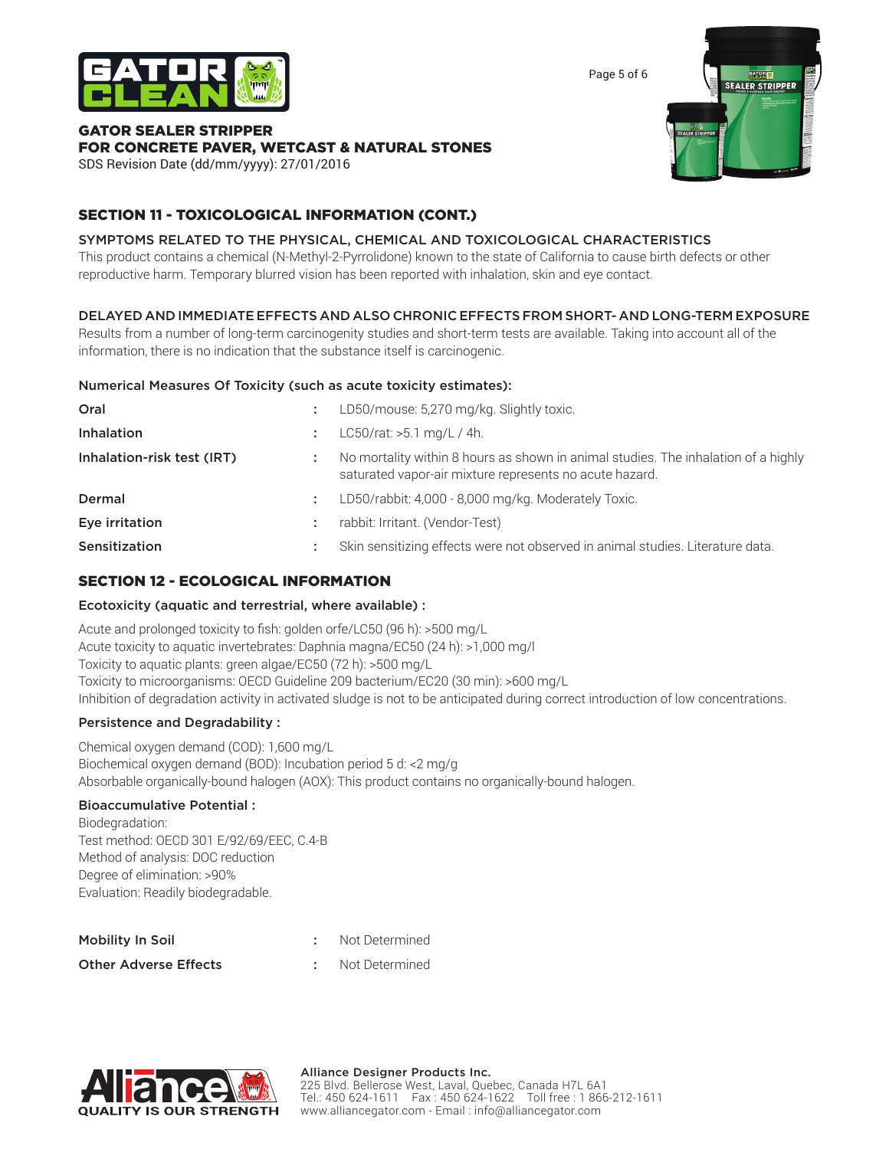

# GATOR SEALER STRIPPER FOR CONCRETE PAVER, WETCAST & NATURAL STONES

SDS Revision Date (dd/mm/yyyy): 27/01/2016

# SECTION 11 - TOXICOLOGICAL INFORMATION (CONT.)

# SYMPTOMS RELATED TO THE PHYSICAL, CHEMICAL AND TOXICOLOGICAL CHARACTERISTICS

This product contains a chemical (N-Methyl-2-Pyrrolidone) known to the state of California to cause birth defects or other reproductive harm. Temporary blurred vision has been reported with inhalation, skin and eye contact.

# DELAYED AND IMMEDIATE EFFECTS AND ALSO CHRONIC EFFECTS FROM SHORT- AND LONG-TERM EXPOSURE

Results from a number of long-term carcinogenity studies and short-term tests are available. Taking into account all of the information, there is no indication that the substance itself is carcinogenic.

## Numerical Measures Of Toxicity (such as acute toxicity estimates):

| Oral                       | ÷ | LD50/mouse: 5,270 mg/kg. Slightly toxic.                                                                                                      |
|----------------------------|---|-----------------------------------------------------------------------------------------------------------------------------------------------|
| Inhalation                 |   | $LC50/rat: >5.1$ mg/L / 4h.                                                                                                                   |
| Inhalation-risk test (IRT) |   | No mortality within 8 hours as shown in animal studies. The inhalation of a highly<br>saturated vapor-air mixture represents no acute hazard. |
| Dermal                     | ÷ | LD50/rabbit: 4,000 - 8,000 mg/kg. Moderately Toxic.                                                                                           |
| Eye irritation             | ٠ | rabbit: Irritant. (Vendor-Test)                                                                                                               |
| Sensitization              | ٠ | Skin sensitizing effects were not observed in animal studies. Literature data.                                                                |

# SECTION 12 - ECOLOGICAL INFORMATION

# Ecotoxicity (aquatic and terrestrial, where available) :

Acute and prolonged toxicity to fish: golden orfe/LC50 (96 h): >500 mg/L Acute toxicity to aquatic invertebrates: Daphnia magna/EC50 (24 h): >1,000 mg/l Toxicity to aquatic plants: green algae/EC50 (72 h): >500 mg/L Toxicity to microorganisms: OECD Guideline 209 bacterium/EC20 (30 min): >600 mg/L Inhibition of degradation activity in activated sludge is not to be anticipated during correct introduction of low concentrations.

# Persistence and Degradability :

Chemical oxygen demand (COD): 1,600 mg/L Biochemical oxygen demand (BOD): Incubation period 5 d: <2 mg/g Absorbable organically-bound halogen (AOX): This product contains no organically-bound halogen.

# Bioaccumulative Potential :

Biodegradation: Test method: OECD 301 E/92/69/EEC, C.4-B Method of analysis: DOC reduction Degree of elimination: >90% Evaluation: Readily biodegradable.

| Mobility In Soil             | Not Determined |
|------------------------------|----------------|
| <b>Other Adverse Effects</b> | Not Determined |